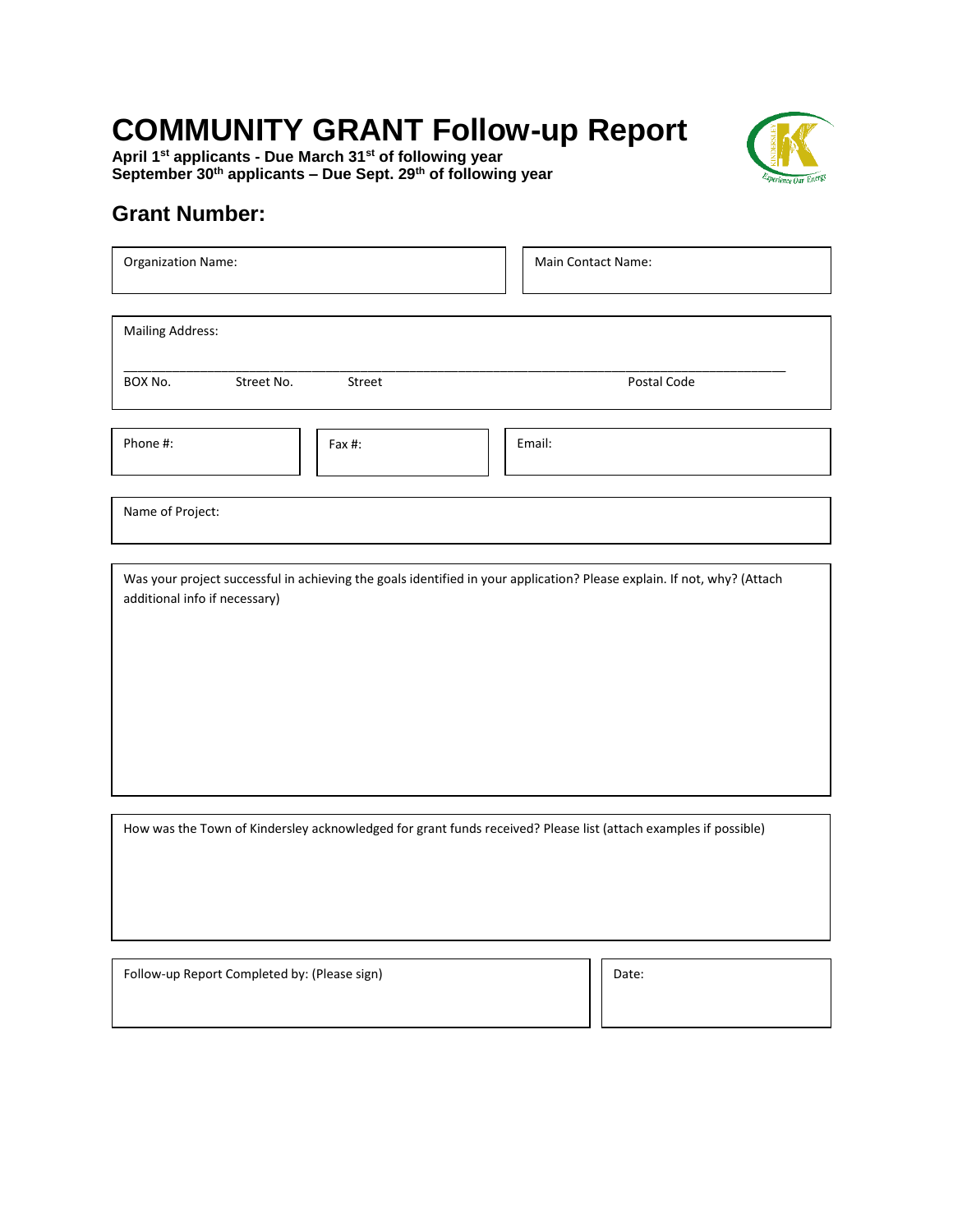## **COMMUNITY GRANT Follow-up Report**

**April 1st applicants - Due March 31st of following year September 30th applicants – Due Sept. 29th of following year**



## **Grant Number:**

| <b>Organization Name:</b>                                                                                                                                                                                                                                                   | Main Contact Name: |
|-----------------------------------------------------------------------------------------------------------------------------------------------------------------------------------------------------------------------------------------------------------------------------|--------------------|
| <b>Mailing Address:</b>                                                                                                                                                                                                                                                     |                    |
| BOX No.<br>Street No.<br>Street                                                                                                                                                                                                                                             | Postal Code        |
| Phone #:<br>Fax #:                                                                                                                                                                                                                                                          | Email:             |
| Name of Project:                                                                                                                                                                                                                                                            |                    |
| Was your project successful in achieving the goals identified in your application? Please explain. If not, why? (Attach<br>additional info if necessary)<br>How was the Town of Kindersley acknowledged for grant funds received? Please list (attach examples if possible) |                    |
|                                                                                                                                                                                                                                                                             |                    |

Follow-up Report Completed by: (Please sign) Date: